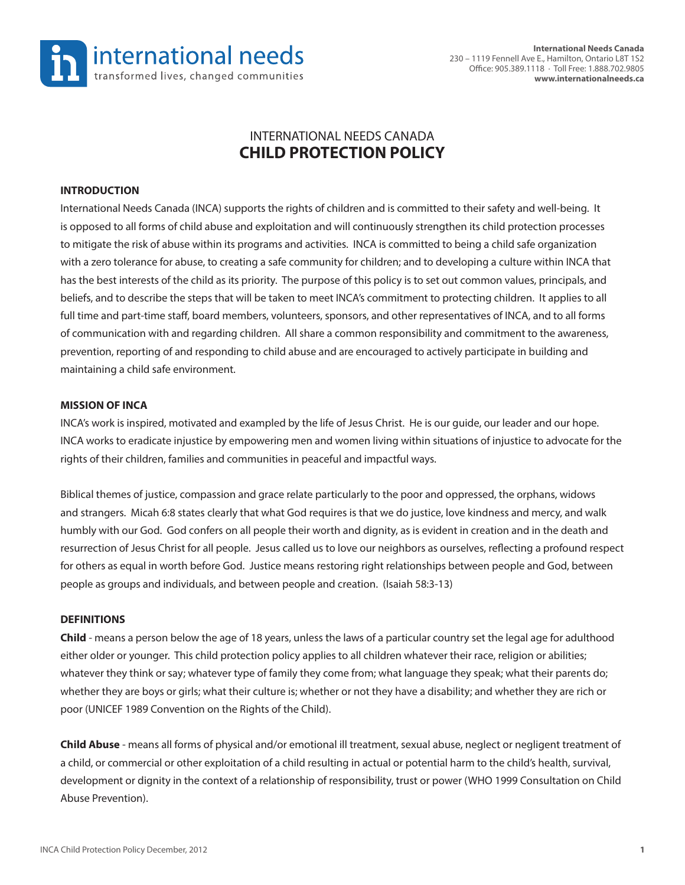

# INTERNATIONAL NEEDS CANADA **CHILD PROTECTION POLICY**

### **INTRODUCTION**

International Needs Canada (INCA) supports the rights of children and is committed to their safety and well-being. It is opposed to all forms of child abuse and exploitation and will continuously strengthen its child protection processes to mitigate the risk of abuse within its programs and activities. INCA is committed to being a child safe organization with a zero tolerance for abuse, to creating a safe community for children; and to developing a culture within INCA that has the best interests of the child as its priority. The purpose of this policy is to set out common values, principals, and beliefs, and to describe the steps that will be taken to meet INCA's commitment to protecting children. It applies to all full time and part-time staff, board members, volunteers, sponsors, and other representatives of INCA, and to all forms of communication with and regarding children. All share a common responsibility and commitment to the awareness, prevention, reporting of and responding to child abuse and are encouraged to actively participate in building and maintaining a child safe environment.

#### **MISSION OF INCA**

INCA's work is inspired, motivated and exampled by the life of Jesus Christ. He is our guide, our leader and our hope. INCA works to eradicate injustice by empowering men and women living within situations of injustice to advocate for the rights of their children, families and communities in peaceful and impactful ways.

Biblical themes of justice, compassion and grace relate particularly to the poor and oppressed, the orphans, widows and strangers. Micah 6:8 states clearly that what God requires is that we do justice, love kindness and mercy, and walk humbly with our God. God confers on all people their worth and dignity, as is evident in creation and in the death and resurrection of Jesus Christ for all people. Jesus called us to love our neighbors as ourselves, reflecting a profound respect for others as equal in worth before God. Justice means restoring right relationships between people and God, between people as groups and individuals, and between people and creation. (Isaiah 58:3-13)

#### **DEFINITIONS**

**Child** - means a person below the age of 18 years, unless the laws of a particular country set the legal age for adulthood either older or younger. This child protection policy applies to all children whatever their race, religion or abilities; whatever they think or say; whatever type of family they come from; what language they speak; what their parents do; whether they are boys or girls; what their culture is; whether or not they have a disability; and whether they are rich or poor (UNICEF 1989 Convention on the Rights of the Child).

**Child Abuse** - means all forms of physical and/or emotional ill treatment, sexual abuse, neglect or negligent treatment of a child, or commercial or other exploitation of a child resulting in actual or potential harm to the child's health, survival, development or dignity in the context of a relationship of responsibility, trust or power (WHO 1999 Consultation on Child Abuse Prevention).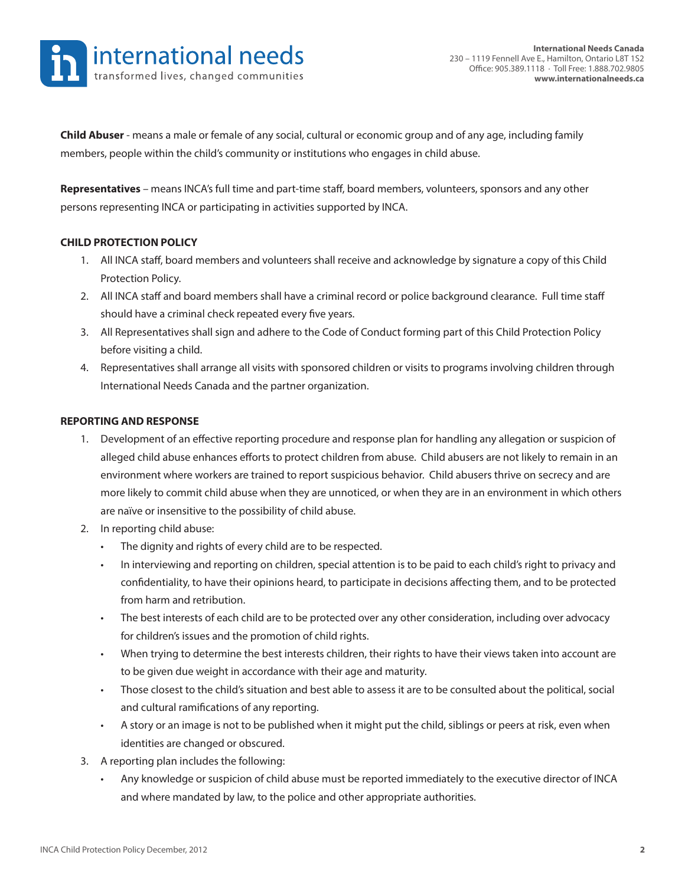

**Child Abuser** - means a male or female of any social, cultural or economic group and of any age, including family members, people within the child's community or institutions who engages in child abuse.

**Representatives** – means INCA's full time and part-time staff, board members, volunteers, sponsors and any other persons representing INCA or participating in activities supported by INCA.

#### **CHILD PROTECTION POLICY**

- 1. All INCA staff, board members and volunteers shall receive and acknowledge by signature a copy of this Child Protection Policy.
- 2. All INCA staff and board members shall have a criminal record or police background clearance. Full time staff should have a criminal check repeated every five years.
- 3. All Representatives shall sign and adhere to the Code of Conduct forming part of this Child Protection Policy before visiting a child.
- 4. Representatives shall arrange all visits with sponsored children or visits to programs involving children through International Needs Canada and the partner organization.

#### **REPORTING AND RESPONSE**

- 1. Development of an effective reporting procedure and response plan for handling any allegation or suspicion of alleged child abuse enhances efforts to protect children from abuse. Child abusers are not likely to remain in an environment where workers are trained to report suspicious behavior. Child abusers thrive on secrecy and are more likely to commit child abuse when they are unnoticed, or when they are in an environment in which others are naïve or insensitive to the possibility of child abuse.
- 2. In reporting child abuse:
	- The dignity and rights of every child are to be respected.
	- In interviewing and reporting on children, special attention is to be paid to each child's right to privacy and confidentiality, to have their opinions heard, to participate in decisions affecting them, and to be protected from harm and retribution.
	- The best interests of each child are to be protected over any other consideration, including over advocacy for children's issues and the promotion of child rights.
	- When trying to determine the best interests children, their rights to have their views taken into account are to be given due weight in accordance with their age and maturity.
	- Those closest to the child's situation and best able to assess it are to be consulted about the political, social and cultural ramifications of any reporting.
	- A story or an image is not to be published when it might put the child, siblings or peers at risk, even when identities are changed or obscured.
- 3. A reporting plan includes the following:
	- Any knowledge or suspicion of child abuse must be reported immediately to the executive director of INCA and where mandated by law, to the police and other appropriate authorities.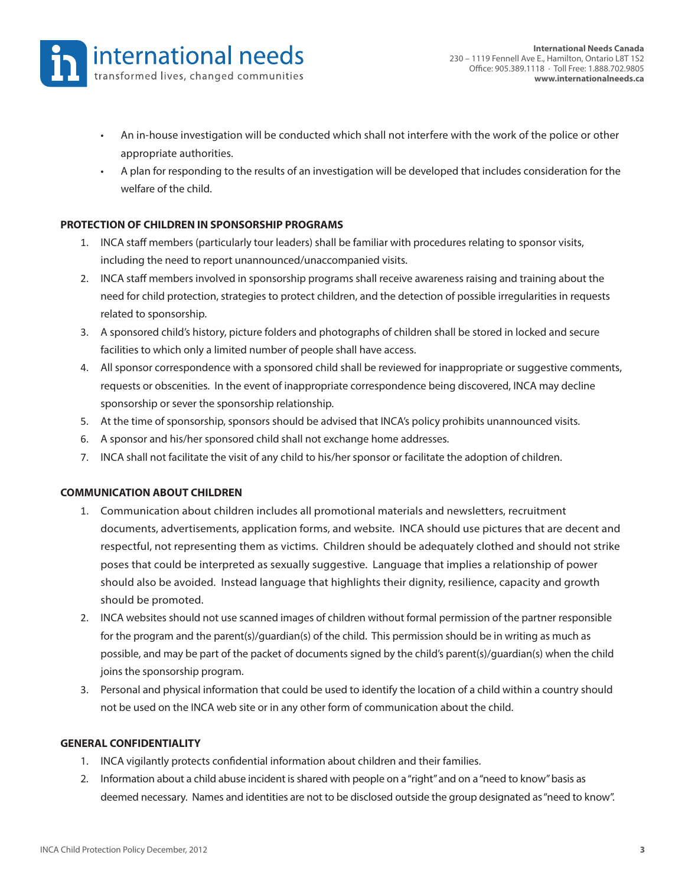- An in-house investigation will be conducted which shall not interfere with the work of the police or other appropriate authorities.
- A plan for responding to the results of an investigation will be developed that includes consideration for the welfare of the child.

### **PROTECTION OF CHILDREN IN SPONSORSHIP PROGRAMS**

- 1. INCA staff members (particularly tour leaders) shall be familiar with procedures relating to sponsor visits, including the need to report unannounced/unaccompanied visits.
- 2. INCA staff members involved in sponsorship programs shall receive awareness raising and training about the need for child protection, strategies to protect children, and the detection of possible irregularities in requests related to sponsorship.
- 3. A sponsored child's history, picture folders and photographs of children shall be stored in locked and secure facilities to which only a limited number of people shall have access.
- 4. All sponsor correspondence with a sponsored child shall be reviewed for inappropriate or suggestive comments, requests or obscenities. In the event of inappropriate correspondence being discovered, INCA may decline sponsorship or sever the sponsorship relationship.
- 5. At the time of sponsorship, sponsors should be advised that INCA's policy prohibits unannounced visits.
- 6. A sponsor and his/her sponsored child shall not exchange home addresses.
- 7. INCA shall not facilitate the visit of any child to his/her sponsor or facilitate the adoption of children.

### **COMMUNICATION ABOUT CHILDREN**

- 1. Communication about children includes all promotional materials and newsletters, recruitment documents, advertisements, application forms, and website. INCA should use pictures that are decent and respectful, not representing them as victims. Children should be adequately clothed and should not strike poses that could be interpreted as sexually suggestive. Language that implies a relationship of power should also be avoided. Instead language that highlights their dignity, resilience, capacity and growth should be promoted.
- 2. INCA websites should not use scanned images of children without formal permission of the partner responsible for the program and the parent(s)/guardian(s) of the child. This permission should be in writing as much as possible, and may be part of the packet of documents signed by the child's parent(s)/guardian(s) when the child joins the sponsorship program.
- 3. Personal and physical information that could be used to identify the location of a child within a country should not be used on the INCA web site or in any other form of communication about the child.

### **GENERAL CONFIDENTIALITY**

- 1. INCA vigilantly protects confidential information about children and their families.
- 2. Information about a child abuse incident is shared with people on a "right" and on a "need to know" basis as deemed necessary. Names and identities are not to be disclosed outside the group designated as "need to know".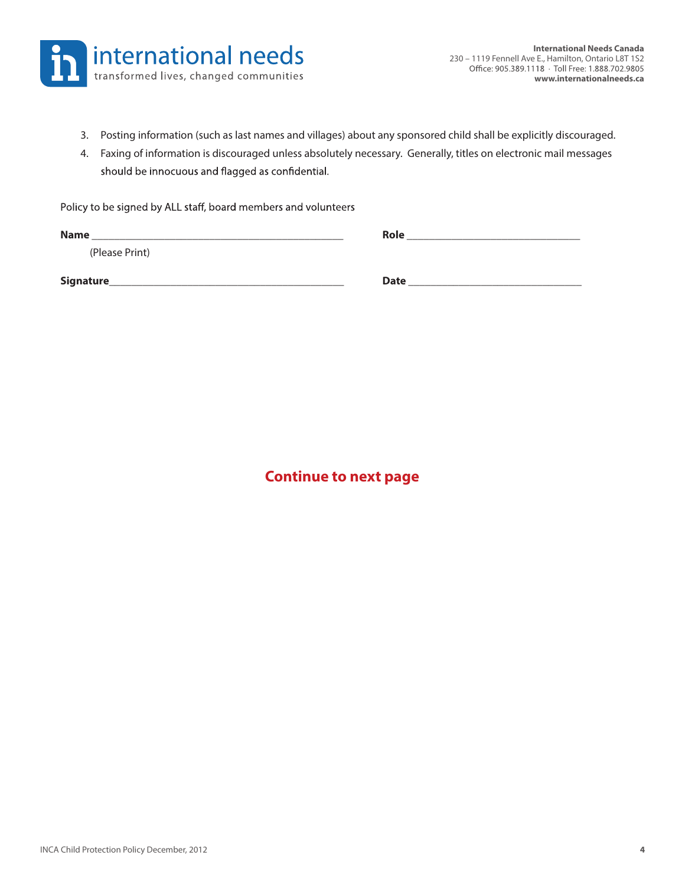

- 3. Posting information (such as last names and villages) about any sponsored child shall be explicitly discouraged.
- 4. Faxing of information is discouraged unless absolutely necessary. Generally, titles on electronic mail messages should be innocuous and flagged as confidential.

Policy to be signed by ALL staff, board members and volunteers

| <b>Name</b>    | <b>Role</b> |
|----------------|-------------|
| (Please Print) |             |
| Signature      | <b>Date</b> |

**Continue to next page**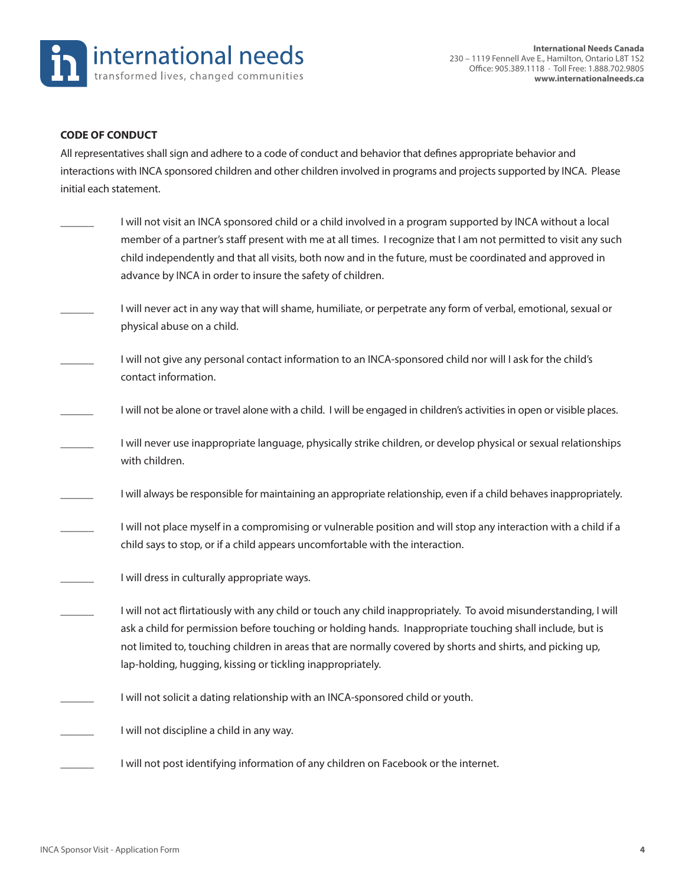

#### **CODE OF CONDUCT**

All representatives shall sign and adhere to a code of conduct and behavior that defines appropriate behavior and interactions with INCA sponsored children and other children involved in programs and projects supported by INCA. Please initial each statement.

- I will not visit an INCA sponsored child or a child involved in a program supported by INCA without a local member of a partner's staff present with me at all times. I recognize that I am not permitted to visit any such child independently and that all visits, both now and in the future, must be coordinated and approved in advance by INCA in order to insure the safety of children.
- I will never act in any way that will shame, humiliate, or perpetrate any form of verbal, emotional, sexual or physical abuse on a child.
- I will not give any personal contact information to an INCA-sponsored child nor will I ask for the child's contact information.
- I will not be alone or travel alone with a child. I will be engaged in children's activities in open or visible places.
- I will never use inappropriate language, physically strike children, or develop physical or sexual relationships with children.
- I will always be responsible for maintaining an appropriate relationship, even if a child behaves inappropriately.
- I will not place myself in a compromising or vulnerable position and will stop any interaction with a child if a child says to stop, or if a child appears uncomfortable with the interaction.
- I will dress in culturally appropriate ways.
	- \_\_\_\_\_\_ I will not act flirtatiously with any child or touch any child inappropriately. To avoid misunderstanding, I will ask a child for permission before touching or holding hands. Inappropriate touching shall include, but is not limited to, touching children in areas that are normally covered by shorts and shirts, and picking up, lap-holding, hugging, kissing or tickling inappropriately.
- I will not solicit a dating relationship with an INCA-sponsored child or youth.
- I will not discipline a child in any way.
	- I will not post identifying information of any children on Facebook or the internet.